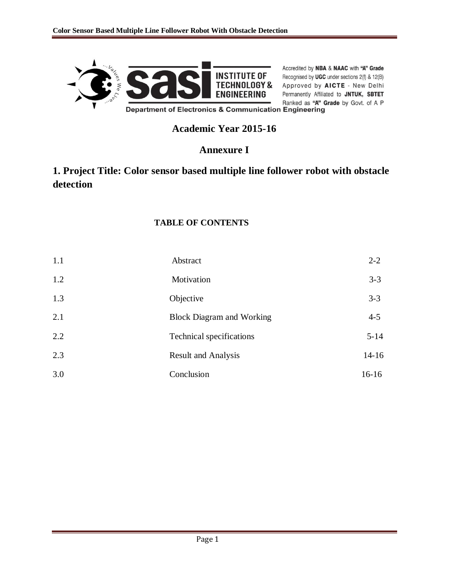

Accredited by NBA & NAAC with "A" Grade **INSTITUTE OF** Recognised by **WEA** & WAAC Will A Grade<br> **INSTITUTE OF** Recognised by **UGC** under sections 2(f) & 12(B) Permanently Affiliated to JNTUK, SBTET Ranked as "A" Grade by Govt. of A P

# **Academic Year 2015-16**

# **Annexure I**

# **1. Project Title: Color sensor based multiple line follower robot with obstacle detection**

### **TABLE OF CONTENTS**

| 1.1 | Abstract                         | $2 - 2$   |
|-----|----------------------------------|-----------|
| 1.2 | Motivation                       | $3 - 3$   |
| 1.3 | Objective                        | $3 - 3$   |
| 2.1 | <b>Block Diagram and Working</b> | $4 - 5$   |
| 2.2 | Technical specifications         | $5 - 14$  |
| 2.3 | <b>Result and Analysis</b>       | $14 - 16$ |
| 3.0 | Conclusion                       | $16 - 16$ |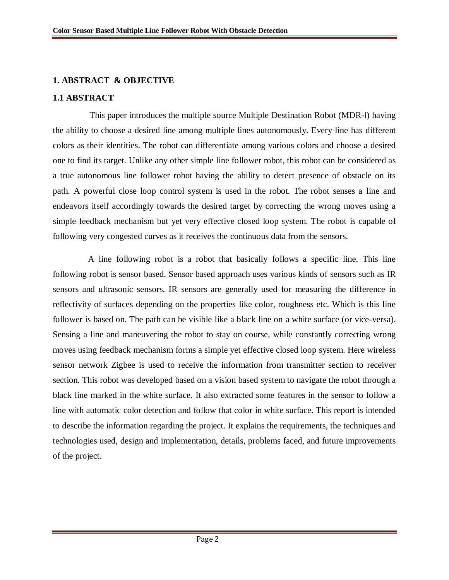#### **1. ABSTRACT & OBJECTIVE**

#### **1.1 ABSTRACT**

This paper introduces the multiple source Multiple Destination Robot (MDR-l) having the ability to choose a desired line among multiple lines autonomously. Every line has different colors as their identities. The robot can differentiate among various colors and choose a desired one to find its target. Unlike any other simple line follower robot, this robot can be considered as a true autonomous line follower robot having the ability to detect presence of obstacle on its path. A powerful close loop control system is used in the robot. The robot senses a line and endeavors itself accordingly towards the desired target by correcting the wrong moves using a simple feedback mechanism but yet very effective closed loop system. The robot is capable of following very congested curves as it receives the continuous data from the sensors.

 A line following robot is a robot that basically follows a specific line. This line following robot is sensor based. Sensor based approach uses various kinds of sensors such as IR sensors and ultrasonic sensors. IR sensors are generally used for measuring the difference in reflectivity of surfaces depending on the properties like color, roughness etc. Which is this line follower is based on. The path can be visible like a black line on a white surface (or vice-versa). Sensing a line and maneuvering the robot to stay on course, while constantly correcting wrong moves using feedback mechanism forms a simple yet effective closed loop system. Here wireless sensor network Zigbee is used to receive the information from transmitter section to receiver section. This robot was developed based on a vision based system to navigate the robot through a black line marked in the white surface. It also extracted some features in the sensor to follow a line with automatic color detection and follow that color in white surface. This report is intended to describe the information regarding the project. It explains the requirements, the techniques and technologies used, design and implementation, details, problems faced, and future improvements of the project.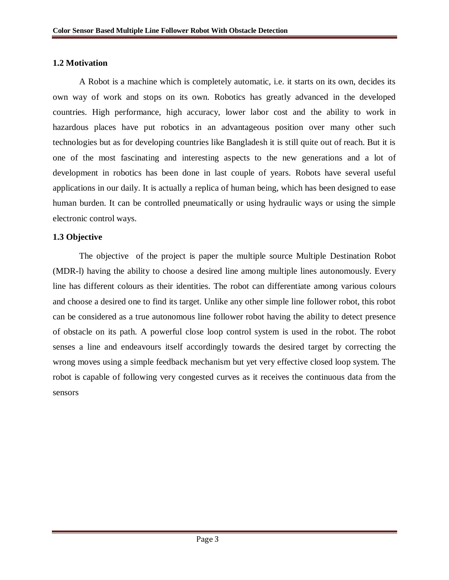#### **1.2 Motivation**

A Robot is a machine which is completely automatic, i.e. it starts on its own, decides its own way of work and stops on its own. Robotics has greatly advanced in the developed countries. High performance, high accuracy, lower labor cost and the ability to work in hazardous places have put robotics in an advantageous position over many other such technologies but as for developing countries like Bangladesh it is still quite out of reach. But it is one of the most fascinating and interesting aspects to the new generations and a lot of development in robotics has been done in last couple of years. Robots have several useful applications in our daily. It is actually a replica of human being, which has been designed to ease human burden. It can be controlled pneumatically or using hydraulic ways or using the simple electronic control ways.

#### **1.3 Objective**

The objective of the project is paper the multiple source Multiple Destination Robot (MDR-l) having the ability to choose a desired line among multiple lines autonomously. Every line has different colours as their identities. The robot can differentiate among various colours and choose a desired one to find its target. Unlike any other simple line follower robot, this robot can be considered as a true autonomous line follower robot having the ability to detect presence of obstacle on its path. A powerful close loop control system is used in the robot. The robot senses a line and endeavours itself accordingly towards the desired target by correcting the wrong moves using a simple feedback mechanism but yet very effective closed loop system. The robot is capable of following very congested curves as it receives the continuous data from the sensors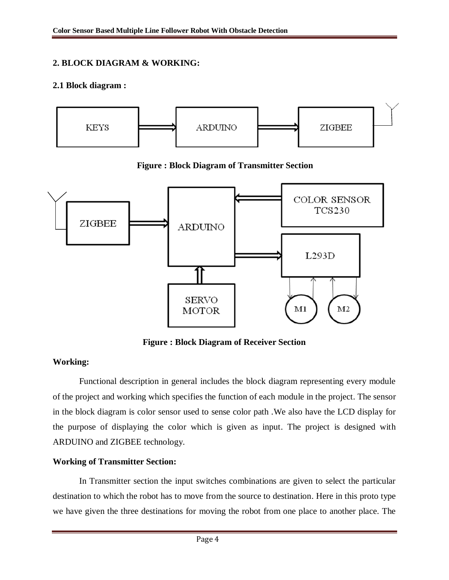### **2. BLOCK DIAGRAM & WORKING:**

#### **2.1 Block diagram :**



**Figure : Block Diagram of Transmitter Section**



**Figure : Block Diagram of Receiver Section**

### **Working:**

Functional description in general includes the block diagram representing every module of the project and working which specifies the function of each module in the project. The sensor in the block diagram is color sensor used to sense color path .We also have the LCD display for the purpose of displaying the color which is given as input. The project is designed with ARDUINO and ZIGBEE technology.

### **Working of Transmitter Section:**

In Transmitter section the input switches combinations are given to select the particular destination to which the robot has to move from the source to destination. Here in this proto type we have given the three destinations for moving the robot from one place to another place. The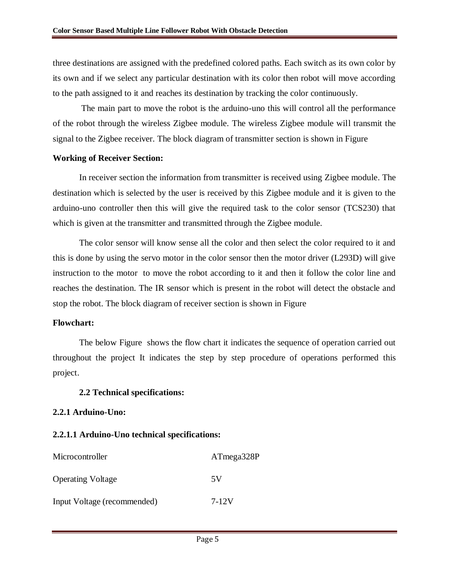three destinations are assigned with the predefined colored paths. Each switch as its own color by its own and if we select any particular destination with its color then robot will move according to the path assigned to it and reaches its destination by tracking the color continuously.

The main part to move the robot is the arduino-uno this will control all the performance of the robot through the wireless Zigbee module. The wireless Zigbee module will transmit the signal to the Zigbee receiver. The block diagram of transmitter section is shown in Figure

#### **Working of Receiver Section:**

In receiver section the information from transmitter is received using Zigbee module. The destination which is selected by the user is received by this Zigbee module and it is given to the arduino-uno controller then this will give the required task to the color sensor (TCS230) that which is given at the transmitter and transmitted through the Zigbee module.

The color sensor will know sense all the color and then select the color required to it and this is done by using the servo motor in the color sensor then the motor driver (L293D) will give instruction to the motor to move the robot according to it and then it follow the color line and reaches the destination. The IR sensor which is present in the robot will detect the obstacle and stop the robot. The block diagram of receiver section is shown in Figure

#### **Flowchart:**

The below Figure shows the flow chart it indicates the sequence of operation carried out throughout the project It indicates the step by step procedure of operations performed this project.

#### **2.2 Technical specifications:**

#### **2.2.1 Arduino-Uno:**

#### **2.2.1.1 Arduino-Uno technical specifications:**

| Microcontroller             | ATmega328P |
|-----------------------------|------------|
| <b>Operating Voltage</b>    | 5V         |
| Input Voltage (recommended) | 7-12V      |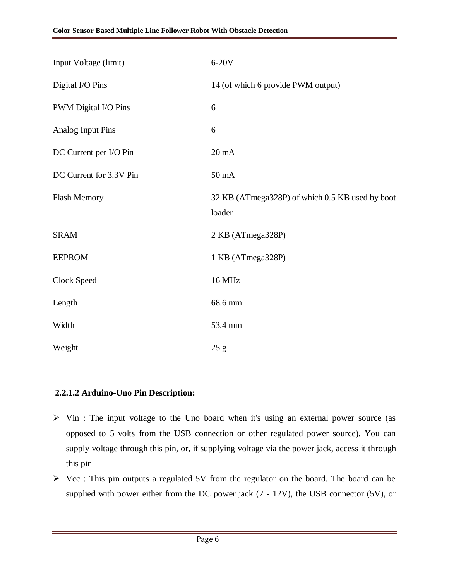| Input Voltage (limit)    | 6-20V                                                     |
|--------------------------|-----------------------------------------------------------|
| Digital I/O Pins         | 14 (of which 6 provide PWM output)                        |
| PWM Digital I/O Pins     | 6                                                         |
| <b>Analog Input Pins</b> | 6                                                         |
| DC Current per I/O Pin   | $20 \text{ mA}$                                           |
| DC Current for 3.3V Pin  | 50 mA                                                     |
| Flash Memory             | 32 KB (ATmega328P) of which 0.5 KB used by boot<br>loader |
| <b>SRAM</b>              | 2 KB (ATmega328P)                                         |
| <b>EEPROM</b>            | 1 KB (ATmega328P)                                         |
| Clock Speed              | 16 MHz                                                    |
| Length                   | 68.6 mm                                                   |
| Width                    | 53.4 mm                                                   |
| Weight                   | 25 g                                                      |

### **2.2.1.2 Arduino-Uno Pin Description:**

- $\triangleright$  Vin : The input voltage to the Uno board when it's using an external power source (as opposed to 5 volts from the USB connection or other regulated power source). You can supply voltage through this pin, or, if supplying voltage via the power jack, access it through this pin.
- $\triangleright$  Vcc : This pin outputs a regulated 5V from the regulator on the board. The board can be supplied with power either from the DC power jack (7 - 12V), the USB connector (5V), or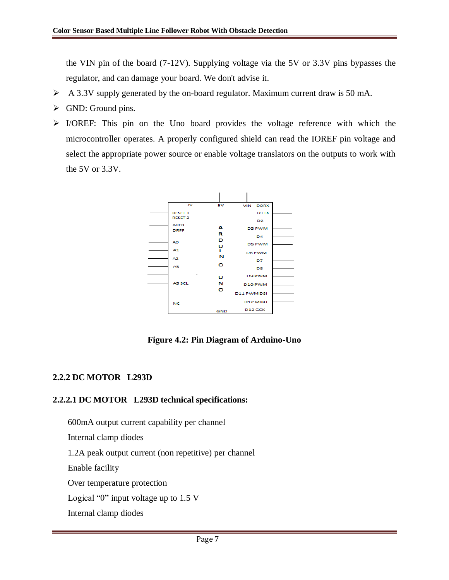the VIN pin of the board (7-12V). Supplying voltage via the 5V or 3.3V pins bypasses the regulator, and can damage your board. We don't advise it.

- A 3.3V supply generated by the on-board regulator. Maximum current draw is 50 mA.
- $\triangleright$  GND: Ground pins.
- $\triangleright$  I/OREF: This pin on the Uno board provides the voltage reference with which the microcontroller operates. A properly configured shield can read the IOREF pin voltage and select the appropriate power source or enable voltage translators on the outputs to work with the 5V or 3.3V.



**Figure 4.2: Pin Diagram of Arduino-Uno**

### **2.2.2 DC MOTOR L293D**

### **2.2.2.1 DC MOTOR L293D technical specifications:**

 600mA output current capability per channel Internal clamp diodes 1.2A peak output current (non repetitive) per channel Enable facility Over temperature protection Logical "0" input voltage up to 1.5 V Internal clamp diodes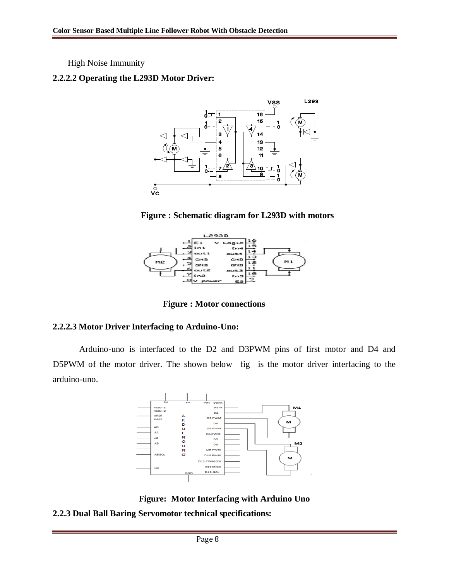High Noise Immunity

#### **2.2.2.2 Operating the L293D Motor Driver:**



**Figure : Schematic diagram for L293D with motors**



 **Figure : Motor connections**

### **2.2.2.3 Motor Driver Interfacing to Arduino-Uno:**

Arduino-uno is interfaced to the D2 and D3PWM pins of first motor and D4 and D5PWM of the motor driver. The shown below fig is the motor driver interfacing to the arduino-uno.



**Figure: Motor Interfacing with Arduino Uno**

**2.2.3 Dual Ball Baring Servomotor technical specifications:**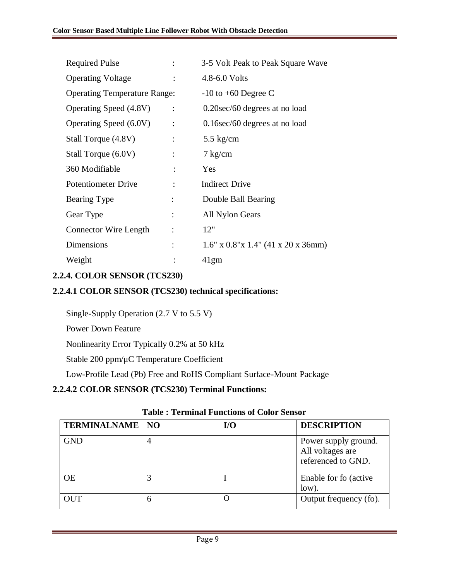| <b>Required Pulse</b>               |                | 3-5 Volt Peak to Peak Square Wave         |  |  |
|-------------------------------------|----------------|-------------------------------------------|--|--|
| <b>Operating Voltage</b>            |                | 4.8-6.0 Volts                             |  |  |
| <b>Operating Temperature Range:</b> |                | $-10$ to $+60$ Degree C                   |  |  |
| Operating Speed (4.8V)              | $\ddot{\cdot}$ | 0.20sec/60 degrees at no load             |  |  |
| Operating Speed (6.0V)              | $\ddot{\cdot}$ | $0.16$ sec/60 degrees at no load          |  |  |
| Stall Torque (4.8V)                 |                | 5.5 $kg/cm$                               |  |  |
| Stall Torque (6.0V)                 |                | $7 \text{ kg/cm}$                         |  |  |
| 360 Modifiable                      |                | Yes                                       |  |  |
| <b>Potentiometer Drive</b>          |                | <b>Indirect Drive</b>                     |  |  |
| Bearing Type                        |                | Double Ball Bearing                       |  |  |
| Gear Type                           | $\ddot{\cdot}$ | All Nylon Gears                           |  |  |
| Connector Wire Length               | $\ddot{\cdot}$ | 12"                                       |  |  |
| Dimensions                          |                | $1.6"$ x $0.8"$ x $1.4"$ (41 x 20 x 36mm) |  |  |
| Weight                              |                | 41gm                                      |  |  |

### **2.2.4. COLOR SENSOR (TCS230)**

### **2.2.4.1 COLOR SENSOR (TCS230) technical specifications:**

Single-Supply Operation (2.7 V to 5.5 V)

Power Down Feature

Nonlinearity Error Typically 0.2% at 50 kHz

Stable 200 ppm/μC Temperature Coefficient

Low-Profile Lead (Pb) Free and RoHS Compliant Surface-Mount Package

### **2.2.4.2 COLOR SENSOR (TCS230) Terminal Functions:**

| <b>TERMINALNAME   NO</b> |   | $U$ | <b>DESCRIPTION</b>                                             |
|--------------------------|---|-----|----------------------------------------------------------------|
| <b>GND</b>               |   |     | Power supply ground.<br>All voltages are<br>referenced to GND. |
| <b>OE</b>                |   |     | Enable for fo (active)<br>low).                                |
| OUT                      | 6 |     | Output frequency (fo).                                         |

### **Table : Terminal Functions of Color Sensor**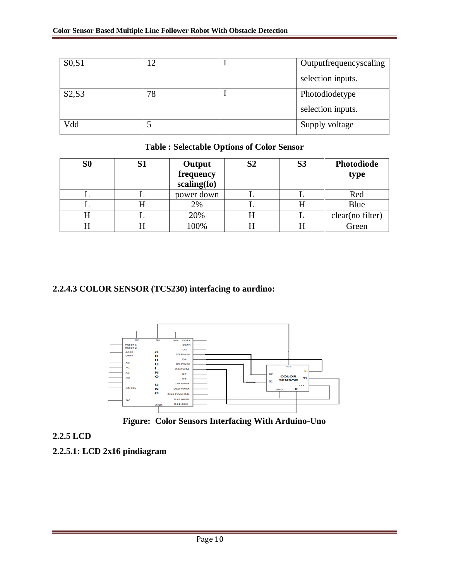| S <sub>0</sub> , S <sub>1</sub> | 12 | Outputfrequencyscaling |
|---------------------------------|----|------------------------|
|                                 |    | selection inputs.      |
| S2,S3                           | 78 | Photodiodetype         |
|                                 |    | selection inputs.      |
| Vdd                             |    | Supply voltage         |

### **Table : Selectable Options of Color Sensor**

| S <sub>0</sub> | S1 | Output<br>frequency<br>scaling(fo) | S <sub>2</sub> | S <sub>3</sub> | <b>Photodiode</b><br>type |
|----------------|----|------------------------------------|----------------|----------------|---------------------------|
|                |    | power down                         |                |                | Red                       |
| ட              |    | 2%                                 |                |                | Blue                      |
| H              |    | 20%                                |                |                | clear(no filter)          |
|                |    | 100%                               |                |                | Green                     |

### **2.2.4.3 COLOR SENSOR (TCS230) interfacing to aurdino:**





### **2.2.5 LCD**

**2.2.5.1: LCD 2x16 pindiagram**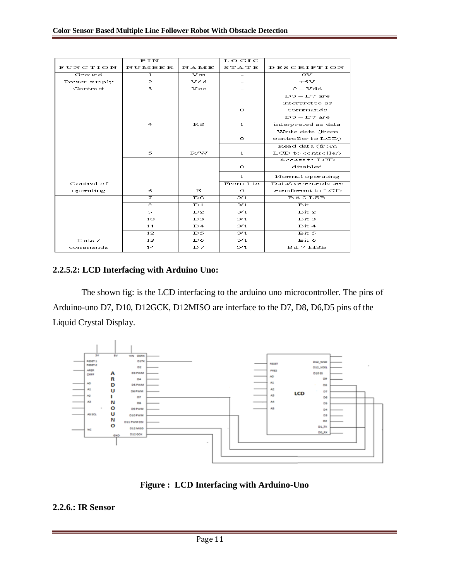|              | $\overline{PIN}$ |                            | LOGIC                     |                           |
|--------------|------------------|----------------------------|---------------------------|---------------------------|
| FUNCTION     | <b>NUMBER</b>    | NAME                       | STATE                     | <b>DESCRIPTION</b>        |
| Ground       | 1                | $\overline{\mathbf{v}}$ ss |                           | $\overline{\mathrm{ov}}$  |
| Power supply | $\mathbf{z}$     | vdd                        |                           | $+5V$                     |
| Contrast     | 3                | Vee                        |                           | $O-Vdd$                   |
|              |                  |                            |                           | $DO - D7$ are             |
|              |                  |                            |                           | interpreted as            |
|              |                  |                            | $\circ$                   | commands                  |
|              |                  |                            |                           | $DO - D7$ are             |
|              | $\overline{4}$   | $_{\rm RS}$                | $\mathbf{1}$              | interpreted as data       |
|              |                  |                            |                           | Write data (from          |
|              |                  |                            | $\circ$                   | controller to LCD)        |
|              |                  |                            |                           | Read data (from           |
|              | 5                | R/W                        | $\mathbf{1}$              | LCD to controller)        |
|              |                  |                            |                           | Access to LCD             |
|              |                  |                            | $\circ$                   | disabled                  |
|              |                  |                            | $\mathbf{1}$              | Normal operating          |
| Control of   |                  |                            | From 1 to                 | Data/commands are         |
| operating    | 6                | E                          | $\circ$                   | transferred to LCD        |
|              | ラ                | $_{\text{DO}}$             | $\overline{O/1}$          | Bit 0 LSB                 |
|              | ଛ                | $\overline{D1}$            | O/1                       | Bit 1                     |
|              | 9                | D2                         | O/1                       | $_{\rm{Bit}}$ 2           |
|              | 10               | D3                         | O/1                       | $_{\rm{Bit}}$ 3           |
|              | 11               | D4                         | O/1                       | Bit 4                     |
|              | $\overline{12}$  | $\overline{\mathcal{D}5}$  | $\overline{\mathrm{o}/1}$ | $\overline{$ it 5         |
| Data/        | 13               | D6                         | $\overline{\mathrm{o}/1}$ | $\overline{\text{Bit}}$ 6 |
| commands     | 14               | $\overline{D7}$            | $\overline{\mathrm{o}/1}$ | Bit 7 MSB                 |

### **2.2.5.2: LCD Interfacing with Arduino Uno:**

The shown fig: is the LCD interfacing to the arduino uno microcontroller. The pins of Arduino-uno D7, D10, D12GCK, D12MISO are interface to the D7, D8, D6,D5 pins of the Liquid Crystal Display.



**Figure : LCD Interfacing with Arduino-Uno**

#### **2.2.6.: IR Sensor**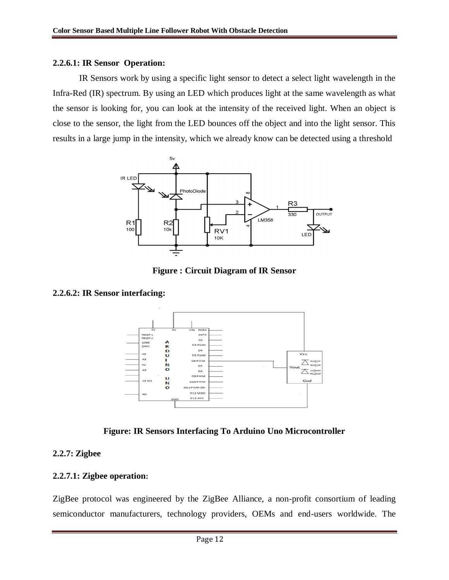#### **2.2.6.1: IR Sensor Operation:**

IR Sensors work by using a specific light sensor to detect a select light wavelength in the Infra-Red (IR) spectrum. By using an LED which produces light at the same wavelength as what the sensor is looking for, you can look at the intensity of the received light. When an object is close to the sensor, the light from the LED bounces off the object and into the light sensor. This results in a large jump in the intensity, which we already know can be detected using a threshold



**Figure : Circuit Diagram of IR Sensor**

#### **2.2.6.2: IR Sensor interfacing:**



**Figure: IR Sensors Interfacing To Arduino Uno Microcontroller**

#### **2.2.7: Zigbee**

#### **2.2.7.1: Zigbee operation:**

ZigBee protocol was engineered by the ZigBee Alliance, a non-profit consortium of leading semiconductor manufacturers, technology providers, OEMs and end-users worldwide. The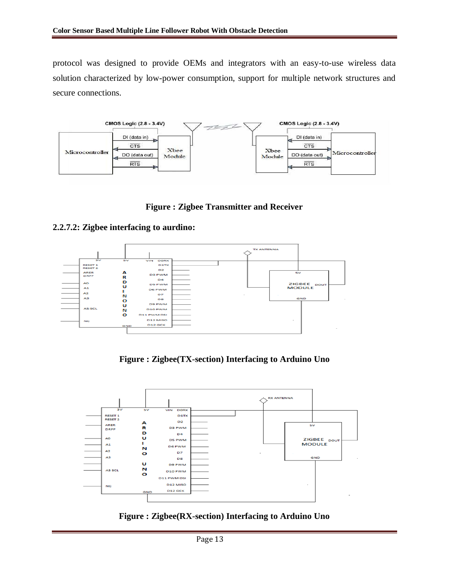protocol was designed to provide OEMs and integrators with an easy-to-use wireless data solution characterized by low-power consumption, support for multiple network structures and secure connections.



**Figure : Zigbee Transmitter and Receiver**

#### **2.2.7.2: Zigbee interfacing to aurdino:**



**Figure : Zigbee(TX-section) Interfacing to Arduino Uno**



**Figure : Zigbee(RX-section) Interfacing to Arduino Uno**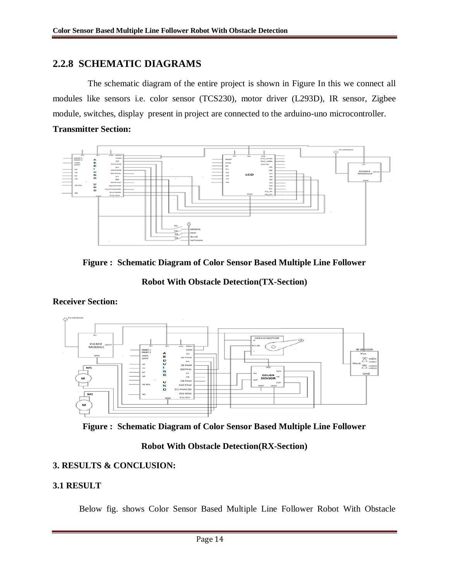# **2.2.8 SCHEMATIC DIAGRAMS**

 The schematic diagram of the entire project is shown in Figure In this we connect all modules like sensors i.e. color sensor (TCS230), motor driver (L293D), IR sensor, Zigbee module, switches, display present in project are connected to the arduino-uno microcontroller.

#### **Transmitter Section:**





**Robot With Obstacle Detection(TX-Section)**



### **Receiver Section:**



### **Robot With Obstacle Detection(RX-Section)**

### **3. RESULTS & CONCLUSION:**

### **3.1 RESULT**

Below fig. shows Color Sensor Based Multiple Line Follower Robot With Obstacle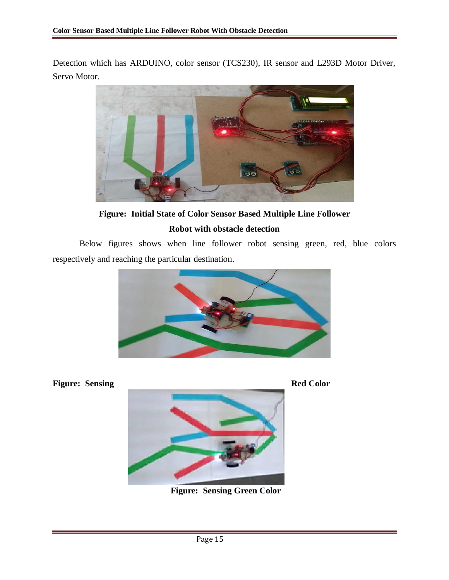Detection which has ARDUINO, color sensor (TCS230), IR sensor and L293D Motor Driver, Servo Motor.



**Figure: Initial State of Color Sensor Based Multiple Line Follower Robot with obstacle detection**

Below figures shows when line follower robot sensing green, red, blue colors respectively and reaching the particular destination.



**Figure: Sensing Red Color** 



**Figure: Sensing Green Color**